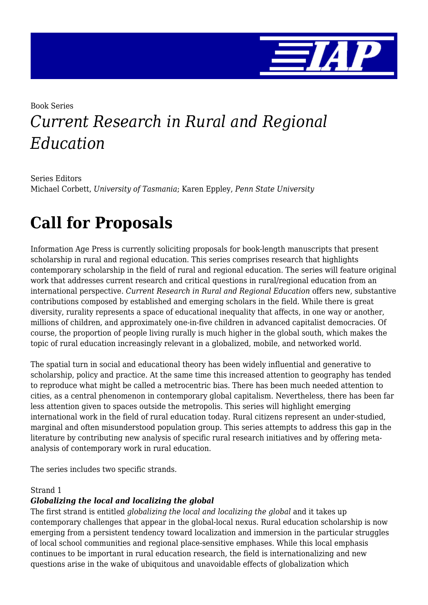

## Book Series *Current Research in Rural and Regional Education*

Series Editors Michael Corbett, *University of Tasmania*; Karen Eppley, *Penn State University*

# **Call for Proposals**

Information Age Press is currently soliciting proposals for book-length manuscripts that present scholarship in rural and regional education. This series comprises research that highlights contemporary scholarship in the field of rural and regional education. The series will feature original work that addresses current research and critical questions in rural/regional education from an international perspective. *Current Research in Rural and Regional Education* offers new, substantive contributions composed by established and emerging scholars in the field. While there is great diversity, rurality represents a space of educational inequality that affects, in one way or another, millions of children, and approximately one-in-five children in advanced capitalist democracies. Of course, the proportion of people living rurally is much higher in the global south, which makes the topic of rural education increasingly relevant in a globalized, mobile, and networked world.

The spatial turn in social and educational theory has been widely influential and generative to scholarship, policy and practice. At the same time this increased attention to geography has tended to reproduce what might be called a metrocentric bias. There has been much needed attention to cities, as a central phenomenon in contemporary global capitalism. Nevertheless, there has been far less attention given to spaces outside the metropolis. This series will highlight emerging international work in the field of rural education today. Rural citizens represent an under-studied, marginal and often misunderstood population group. This series attempts to address this gap in the literature by contributing new analysis of specific rural research initiatives and by offering metaanalysis of contemporary work in rural education.

The series includes two specific strands.

#### Strand 1

#### *Globalizing the local and localizing the global*

The first strand is entitled *globalizing the local and localizing the global* and it takes up contemporary challenges that appear in the global-local nexus. Rural education scholarship is now emerging from a persistent tendency toward localization and immersion in the particular struggles of local school communities and regional place-sensitive emphases. While this local emphasis continues to be important in rural education research, the field is internationalizing and new questions arise in the wake of ubiquitous and unavoidable effects of globalization which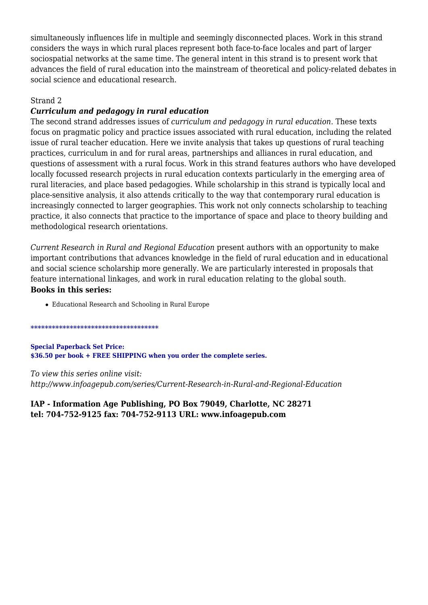simultaneously influences life in multiple and seemingly disconnected places. Work in this strand considers the ways in which rural places represent both face-to-face locales and part of larger sociospatial networks at the same time. The general intent in this strand is to present work that advances the field of rural education into the mainstream of theoretical and policy-related debates in social science and educational research.

#### Strand 2

#### *Curriculum and pedagogy in rural education*

The second strand addresses issues of *curriculum and pedagogy in rural education.* These texts focus on pragmatic policy and practice issues associated with rural education, including the related issue of rural teacher education. Here we invite analysis that takes up questions of rural teaching practices, curriculum in and for rural areas, partnerships and alliances in rural education, and questions of assessment with a rural focus. Work in this strand features authors who have developed locally focussed research projects in rural education contexts particularly in the emerging area of rural literacies, and place based pedagogies. While scholarship in this strand is typically local and place-sensitive analysis, it also attends critically to the way that contemporary rural education is increasingly connected to larger geographies. This work not only connects scholarship to teaching practice, it also connects that practice to the importance of space and place to theory building and methodological research orientations.

*Current Research in Rural and Regional Education* present authors with an opportunity to make important contributions that advances knowledge in the field of rural education and in educational and social science scholarship more generally. We are particularly interested in proposals that feature international linkages, and work in rural education relating to the global south. **Books in this series:**

Educational Research and Schooling in Rural Europe

#### \*\*\*\*\*\*\*\*\*\*\*\*\*\*\*\*\*\*\*\*\*\*\*\*\*\*\*\*\*\*\*\*\*\*\*\*

**Special Paperback Set Price: \$36.50 per book + FREE SHIPPING when you order the complete series.**

*To view this series online visit: http://www.infoagepub.com/series/Current-Research-in-Rural-and-Regional-Education*

**IAP - Information Age Publishing, PO Box 79049, Charlotte, NC 28271 tel: 704-752-9125 fax: 704-752-9113 URL: www.infoagepub.com**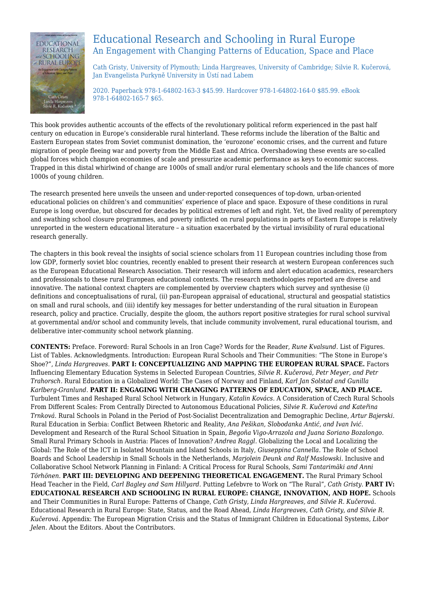

### Educational Research and Schooling in Rural Europe An Engagement with Changing Patterns of Education, Space and Place

Cath Gristy, University of Plymouth; Linda Hargreaves, University of Cambridge; Silvie R. Kučerová, Jan Evangelista Purkyně University in Ústí nad Labem

2020. Paperback 978-1-64802-163-3 \$45.99. Hardcover 978-1-64802-164-0 \$85.99. eBook 978-1-64802-165-7 \$65.

This book provides authentic accounts of the effects of the revolutionary political reform experienced in the past half century on education in Europe's considerable rural hinterland. These reforms include the liberation of the Baltic and Eastern European states from Soviet communist domination, the 'eurozone' economic crises, and the current and future migration of people fleeing war and poverty from the Middle East and Africa. Overshadowing these events are so-called global forces which champion economies of scale and pressurize academic performance as keys to economic success. Trapped in this distal whirlwind of change are 1000s of small and/or rural elementary schools and the life chances of more 1000s of young children.

The research presented here unveils the unseen and under-reported consequences of top-down, urban-oriented educational policies on children's and communities' experience of place and space. Exposure of these conditions in rural Europe is long overdue, but obscured for decades by political extremes of left and right. Yet, the lived reality of peremptory and swathing school closure programmes, and poverty inflicted on rural populations in parts of Eastern Europe is relatively unreported in the western educational literature – a situation exacerbated by the virtual invisibility of rural educational research generally.

The chapters in this book reveal the insights of social science scholars from 11 European countries including those from low GDP, formerly soviet bloc countries, recently enabled to present their research at western European conferences such as the European Educational Research Association. Their research will inform and alert education academics, researchers and professionals to these rural European educational contexts. The research methodologies reported are diverse and innovative. The national context chapters are complemented by overview chapters which survey and synthesise (i) definitions and conceptualisations of rural, (ii) pan-European appraisal of educational, structural and geospatial statistics on small and rural schools, and (iii) identify key messages for better understanding of the rural situation in European research, policy and practice. Crucially, despite the gloom, the authors report positive strategies for rural school survival at governmental and/or school and community levels, that include community involvement, rural educational tourism, and deliberative inter-community school network planning.

**CONTENTS:** Preface. Foreword: Rural Schools in an Iron Cage? Words for the Reader, *Rune Kvalsund.* List of Figures. List of Tables. Acknowledgments. Introduction: European Rural Schools and Their Communities: "The Stone in Europe's Shoe?", *Linda Hargreaves.* **PART I: CONCEPTUALIZING AND MAPPING THE EUROPEAN RURAL SPACE.** Factors Influencing Elementary Education Systems in Selected European Countries, *Silvie R. Kučerová, Petr Meyer, and Petr Trahorsch.* Rural Education in a Globalized World: The Cases of Norway and Finland, *Karl Jan Solstad and Gunilla Karlberg-Granlund.* **PART II: ENGAGING WITH CHANGING PATTERNS OF EDUCATION, SPACE, AND PLACE.** Turbulent Times and Reshaped Rural School Network in Hungary, *Katalin Kovács.* A Consideration of Czech Rural Schools From Different Scales: From Centrally Directed to Autonomous Educational Policies, *Silvie R. Kučerová and Kateřina Trnková.* Rural Schools in Poland in the Period of Post-Socialist Decentralization and Demographic Decline, *Artur Bajerski.* Rural Education in Serbia: Conflict Between Rhetoric and Reality, *Ana Pešikan, Slobodanka Antić, and Ivan Ivić.* Development and Research of the Rural School Situation in Spain, *Begoña Vigo-Arrazola and Juana Soriano Bozalongo.* Small Rural Primary Schools in Austria: Places of Innovation? *Andrea Raggl.* Globalizing the Local and Localizing the Global: The Role of the ICT in Isolated Mountain and Island Schools in Italy, *Giuseppina Cannella.* The Role of School Boards and School Leadership in Small Schools in the Netherlands, *Marjolein Deunk and Ralf Maslowski.* Inclusive and Collaborative School Network Planning in Finland: A Critical Process for Rural Schools, *Sami Tantarimäki and Anni Törhönen.* **PART III: DEVELOPING AND DEEPENING THEORETICAL ENGAGEMENT.** The Rural Primary School Head Teacher in the Field, *Carl Bagley and Sam Hillyard.* Putting Lefebvre to Work on "The Rural", *Cath Gristy.* **PART IV: EDUCATIONAL RESEARCH AND SCHOOLING IN RURAL EUROPE: CHANGE, INNOVATION, AND HOPE.** Schools and Their Communities in Rural Europe: Patterns of Change, *Cath Gristy, Linda Hargreaves, and Silvie R. Kučerová.* Educational Research in Rural Europe: State, Status, and the Road Ahead, *Linda Hargreaves, Cath Gristy, and Silvie R. Kučerová.* Appendix: The European Migration Crisis and the Status of Immigrant Children in Educational Systems, *Libor Jelen.* About the Editors. About the Contributors.